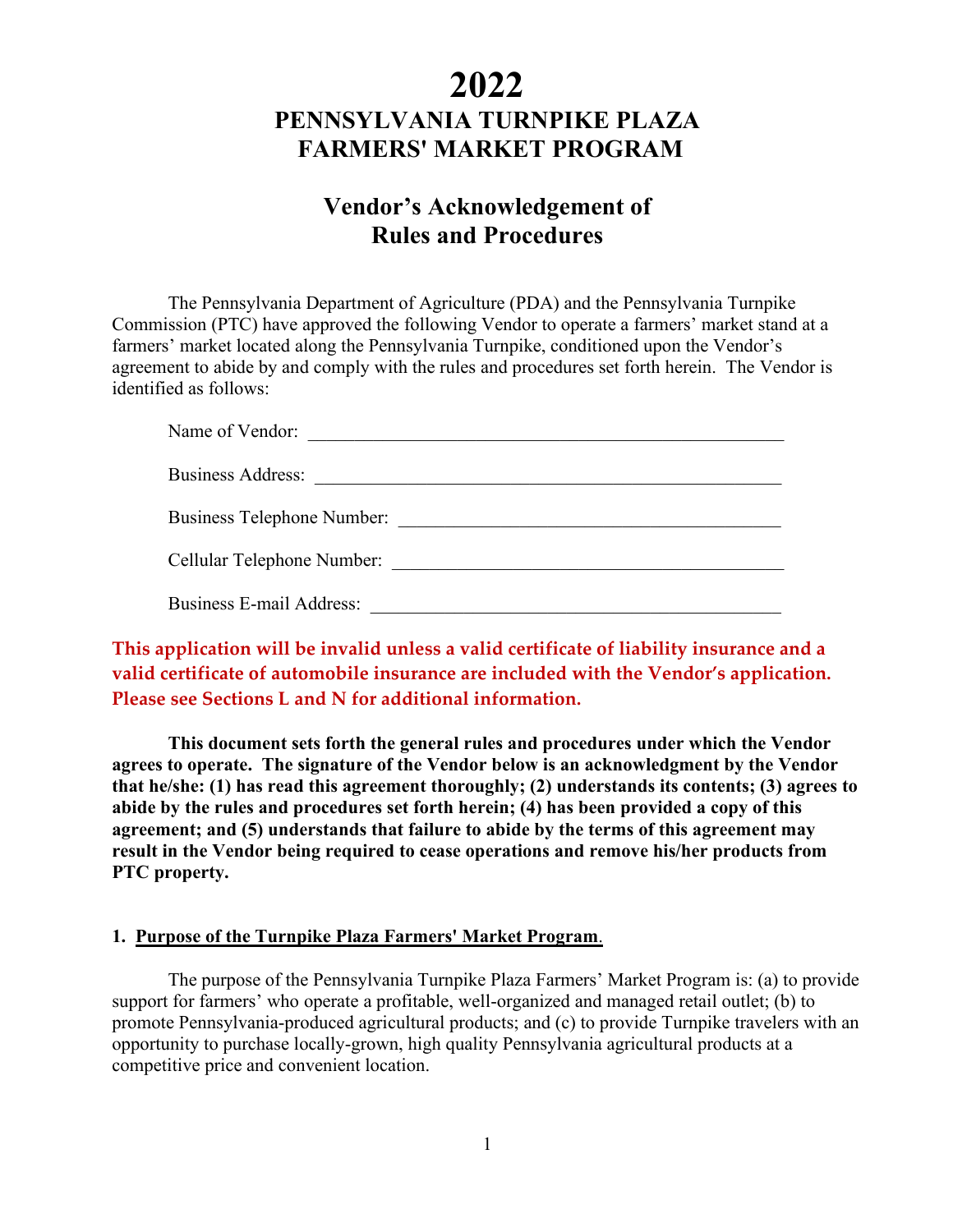# **2022 PENNSYLVANIA TURNPIKE PLAZA FARMERS' MARKET PROGRAM**

# **Vendor's Acknowledgement of Rules and Procedures**

The Pennsylvania Department of Agriculture (PDA) and the Pennsylvania Turnpike Commission (PTC) have approved the following Vendor to operate a farmers' market stand at a farmers' market located along the Pennsylvania Turnpike, conditioned upon the Vendor's agreement to abide by and comply with the rules and procedures set forth herein. The Vendor is identified as follows:

| Name of Vendor:                 |                            |
|---------------------------------|----------------------------|
| <b>Business Address:</b>        |                            |
|                                 | Business Telephone Number: |
| Cellular Telephone Number:      |                            |
| <b>Business E-mail Address:</b> |                            |

# **This application will be invalid unless a valid certificate of liability insurance and a valid certificate of automobile insurance are included with the Vendor's application. Please see Sections L and N for additional information.**

**This document sets forth the general rules and procedures under which the Vendor agrees to operate. The signature of the Vendor below is an acknowledgment by the Vendor that he/she: (1) has read this agreement thoroughly; (2) understands its contents; (3) agrees to abide by the rules and procedures set forth herein; (4) has been provided a copy of this agreement; and (5) understands that failure to abide by the terms of this agreement may result in the Vendor being required to cease operations and remove his/her products from PTC property.** 

#### **1. Purpose of the Turnpike Plaza Farmers' Market Program**.

The purpose of the Pennsylvania Turnpike Plaza Farmers' Market Program is: (a) to provide support for farmers' who operate a profitable, well-organized and managed retail outlet; (b) to promote Pennsylvania-produced agricultural products; and (c) to provide Turnpike travelers with an opportunity to purchase locally-grown, high quality Pennsylvania agricultural products at a competitive price and convenient location.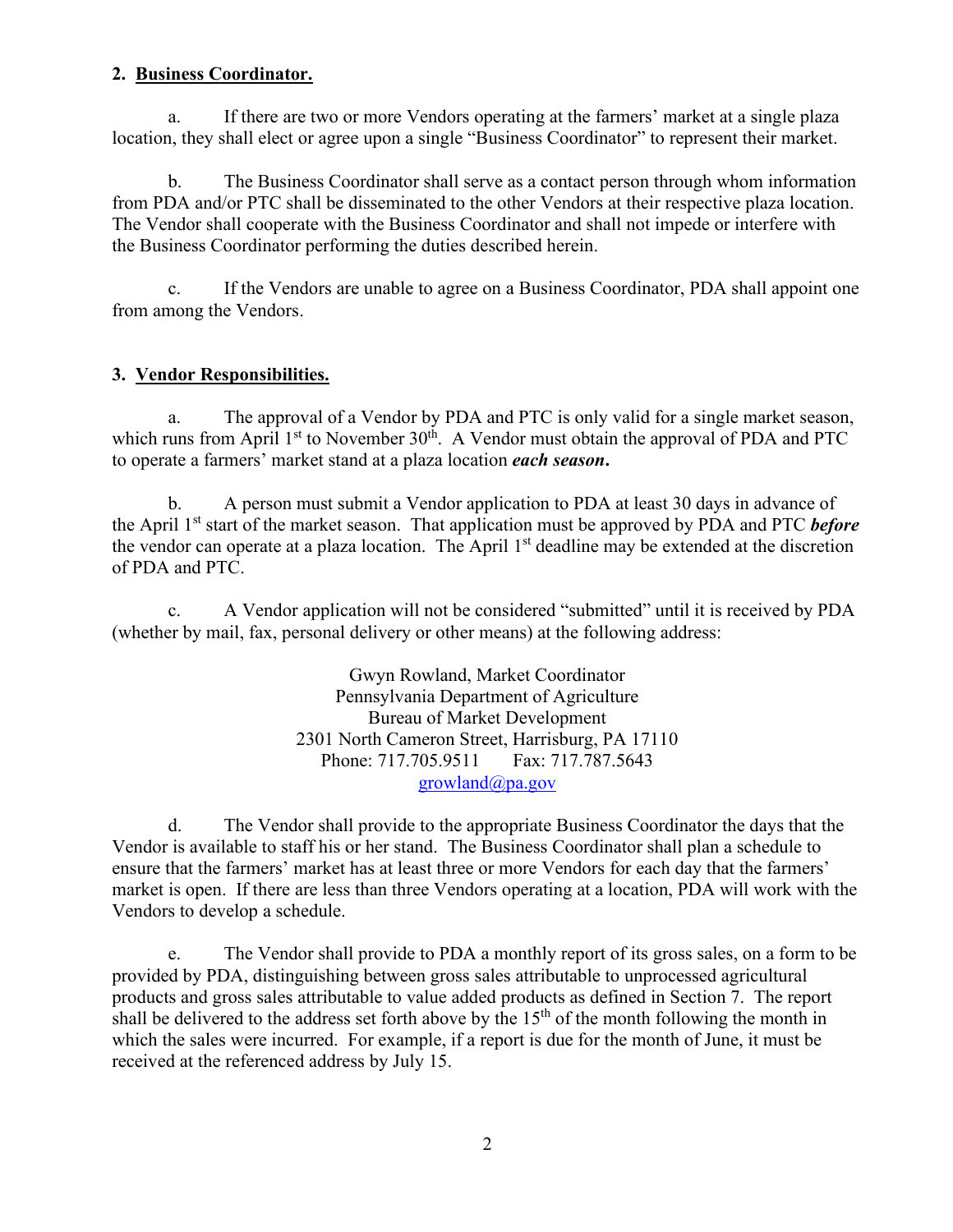#### **2. Business Coordinator.**

a. If there are two or more Vendors operating at the farmers' market at a single plaza location, they shall elect or agree upon a single "Business Coordinator" to represent their market.

b. The Business Coordinator shall serve as a contact person through whom information from PDA and/or PTC shall be disseminated to the other Vendors at their respective plaza location. The Vendor shall cooperate with the Business Coordinator and shall not impede or interfere with the Business Coordinator performing the duties described herein.

c. If the Vendors are unable to agree on a Business Coordinator, PDA shall appoint one from among the Vendors.

## **3. Vendor Responsibilities.**

a. The approval of a Vendor by PDA and PTC is only valid for a single market season, which runs from April  $1<sup>st</sup>$  to November  $30<sup>th</sup>$ . A Vendor must obtain the approval of PDA and PTC to operate a farmers' market stand at a plaza location *each season***.**

b. A person must submit a Vendor application to PDA at least 30 days in advance of the April 1st start of the market season. That application must be approved by PDA and PTC *before* the vendor can operate at a plaza location. The April 1<sup>st</sup> deadline may be extended at the discretion of PDA and PTC.

c. A Vendor application will not be considered "submitted" until it is received by PDA (whether by mail, fax, personal delivery or other means) at the following address:

> Gwyn Rowland, Market Coordinator Pennsylvania Department of Agriculture Bureau of Market Development 2301 North Cameron Street, Harrisburg, PA 17110 Phone: 717.705.9511 Fax: 717.787.5643 [growland@pa.gov](mailto:growland@pa.gov)

d. The Vendor shall provide to the appropriate Business Coordinator the days that the Vendor is available to staff his or her stand. The Business Coordinator shall plan a schedule to ensure that the farmers' market has at least three or more Vendors for each day that the farmers' market is open. If there are less than three Vendors operating at a location, PDA will work with the Vendors to develop a schedule.

e. The Vendor shall provide to PDA a monthly report of its gross sales, on a form to be provided by PDA, distinguishing between gross sales attributable to unprocessed agricultural products and gross sales attributable to value added products as defined in Section 7. The report shall be delivered to the address set forth above by the  $15<sup>th</sup>$  of the month following the month in which the sales were incurred. For example, if a report is due for the month of June, it must be received at the referenced address by July 15.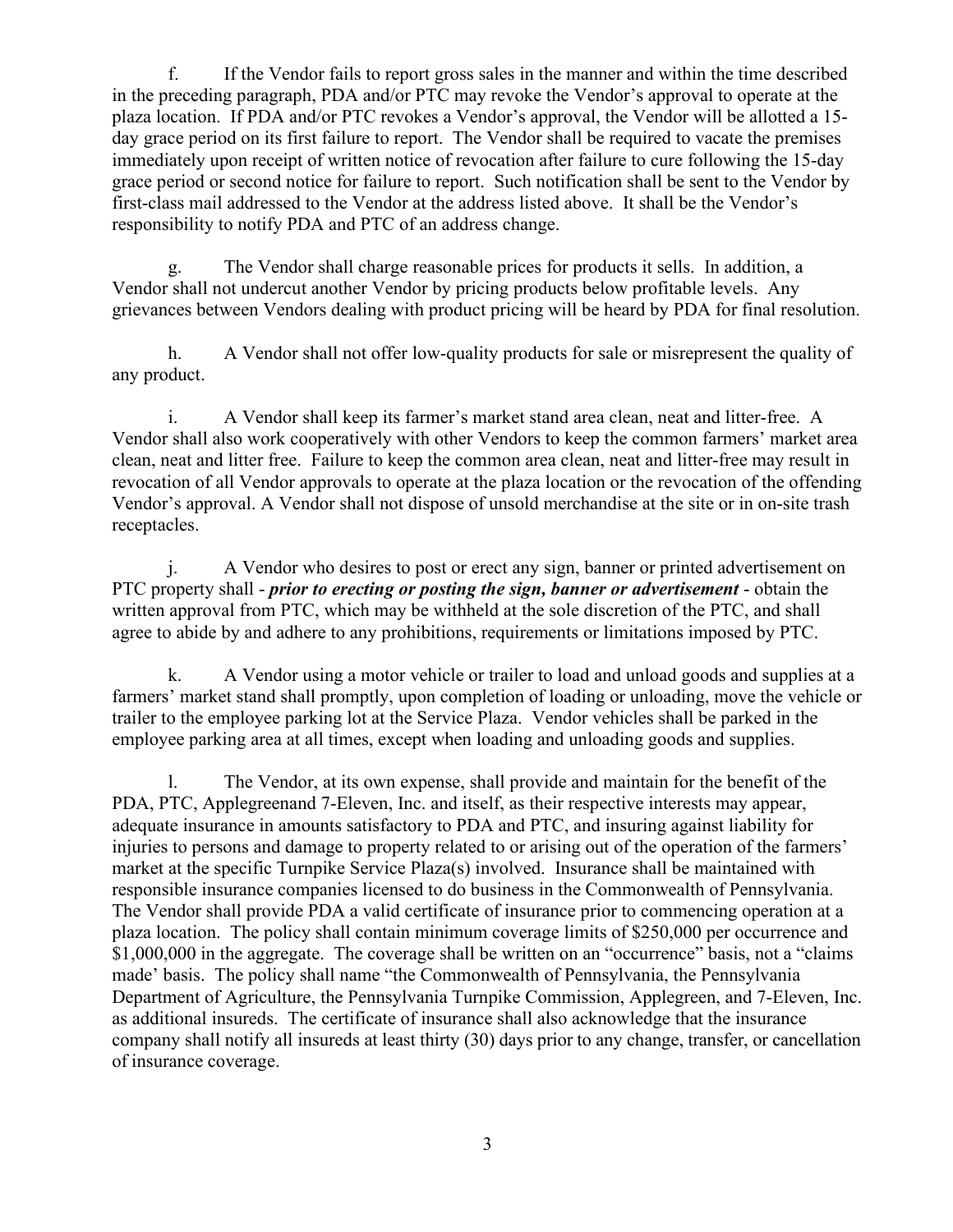f. If the Vendor fails to report gross sales in the manner and within the time described in the preceding paragraph, PDA and/or PTC may revoke the Vendor's approval to operate at the plaza location. If PDA and/or PTC revokes a Vendor's approval, the Vendor will be allotted a 15 day grace period on its first failure to report. The Vendor shall be required to vacate the premises immediately upon receipt of written notice of revocation after failure to cure following the 15-day grace period or second notice for failure to report. Such notification shall be sent to the Vendor by first-class mail addressed to the Vendor at the address listed above. It shall be the Vendor's responsibility to notify PDA and PTC of an address change.

g. The Vendor shall charge reasonable prices for products it sells. In addition, a Vendor shall not undercut another Vendor by pricing products below profitable levels. Any grievances between Vendors dealing with product pricing will be heard by PDA for final resolution.

h. A Vendor shall not offer low-quality products for sale or misrepresent the quality of any product.

i. A Vendor shall keep its farmer's market stand area clean, neat and litter-free. A Vendor shall also work cooperatively with other Vendors to keep the common farmers' market area clean, neat and litter free. Failure to keep the common area clean, neat and litter-free may result in revocation of all Vendor approvals to operate at the plaza location or the revocation of the offending Vendor's approval. A Vendor shall not dispose of unsold merchandise at the site or in on-site trash receptacles.

j. A Vendor who desires to post or erect any sign, banner or printed advertisement on PTC property shall - *prior to erecting or posting the sign, banner or advertisement* - obtain the written approval from PTC, which may be withheld at the sole discretion of the PTC, and shall agree to abide by and adhere to any prohibitions, requirements or limitations imposed by PTC.

k. A Vendor using a motor vehicle or trailer to load and unload goods and supplies at a farmers' market stand shall promptly, upon completion of loading or unloading, move the vehicle or trailer to the employee parking lot at the Service Plaza. Vendor vehicles shall be parked in the employee parking area at all times, except when loading and unloading goods and supplies.

l. The Vendor, at its own expense, shall provide and maintain for the benefit of the PDA, PTC, Applegreenand 7-Eleven, Inc. and itself, as their respective interests may appear, adequate insurance in amounts satisfactory to PDA and PTC, and insuring against liability for injuries to persons and damage to property related to or arising out of the operation of the farmers' market at the specific Turnpike Service Plaza(s) involved. Insurance shall be maintained with responsible insurance companies licensed to do business in the Commonwealth of Pennsylvania. The Vendor shall provide PDA a valid certificate of insurance prior to commencing operation at a plaza location. The policy shall contain minimum coverage limits of \$250,000 per occurrence and \$1,000,000 in the aggregate. The coverage shall be written on an "occurrence" basis, not a "claims made' basis. The policy shall name "the Commonwealth of Pennsylvania, the Pennsylvania Department of Agriculture, the Pennsylvania Turnpike Commission, Applegreen, and 7-Eleven, Inc. as additional insureds. The certificate of insurance shall also acknowledge that the insurance company shall notify all insureds at least thirty (30) days prior to any change, transfer, or cancellation of insurance coverage.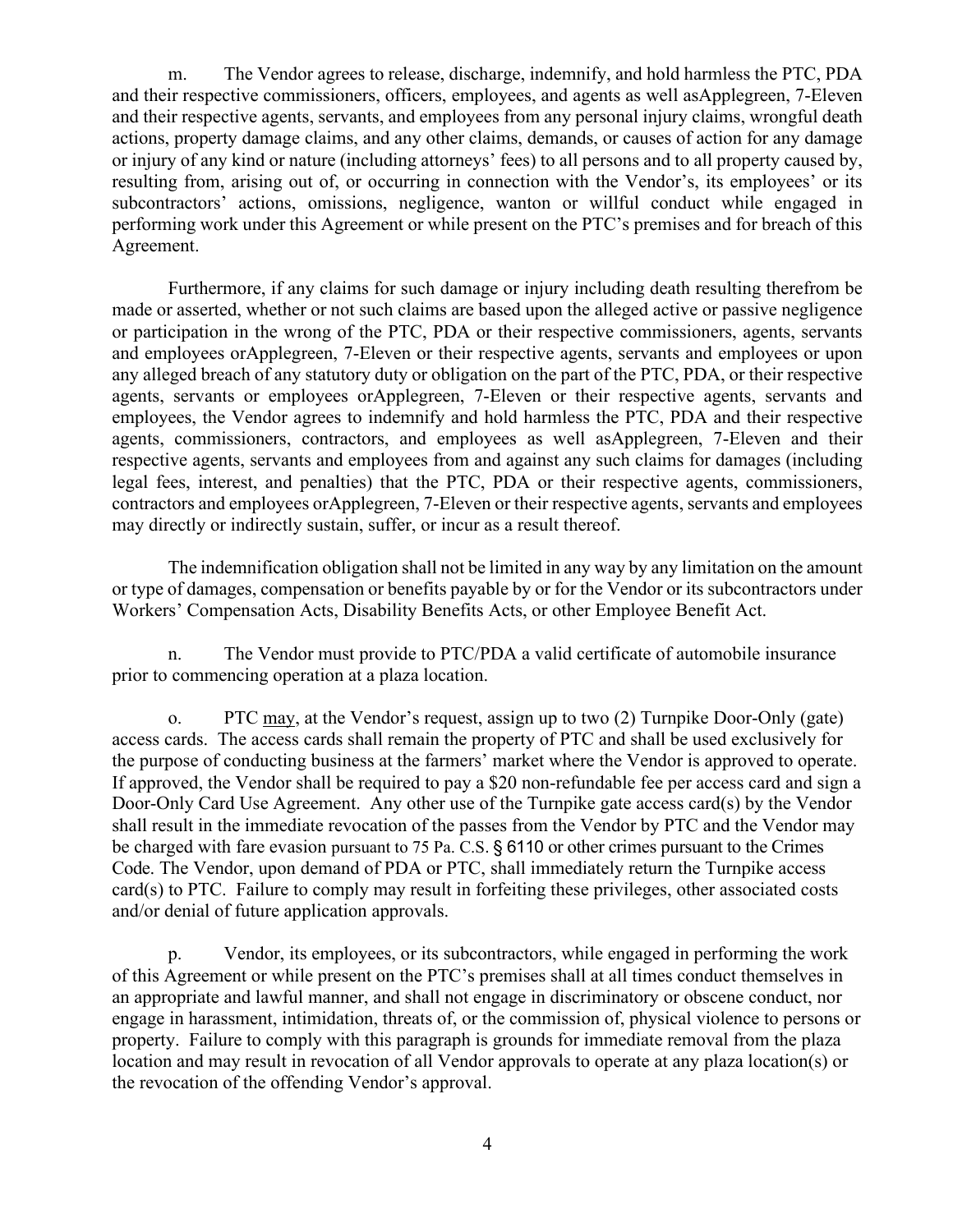m. The Vendor agrees to release, discharge, indemnify, and hold harmless the PTC, PDA and their respective commissioners, officers, employees, and agents as well asApplegreen, 7-Eleven and their respective agents, servants, and employees from any personal injury claims, wrongful death actions, property damage claims, and any other claims, demands, or causes of action for any damage or injury of any kind or nature (including attorneys' fees) to all persons and to all property caused by, resulting from, arising out of, or occurring in connection with the Vendor's, its employees' or its subcontractors' actions, omissions, negligence, wanton or willful conduct while engaged in performing work under this Agreement or while present on the PTC's premises and for breach of this Agreement.

Furthermore, if any claims for such damage or injury including death resulting therefrom be made or asserted, whether or not such claims are based upon the alleged active or passive negligence or participation in the wrong of the PTC, PDA or their respective commissioners, agents, servants and employees orApplegreen, 7-Eleven or their respective agents, servants and employees or upon any alleged breach of any statutory duty or obligation on the part of the PTC, PDA, or their respective agents, servants or employees orApplegreen, 7-Eleven or their respective agents, servants and employees, the Vendor agrees to indemnify and hold harmless the PTC, PDA and their respective agents, commissioners, contractors, and employees as well asApplegreen, 7-Eleven and their respective agents, servants and employees from and against any such claims for damages (including legal fees, interest, and penalties) that the PTC, PDA or their respective agents, commissioners, contractors and employees orApplegreen, 7-Eleven or their respective agents, servants and employees may directly or indirectly sustain, suffer, or incur as a result thereof.

The indemnification obligation shall not be limited in any way by any limitation on the amount or type of damages, compensation or benefits payable by or for the Vendor or its subcontractors under Workers' Compensation Acts, Disability Benefits Acts, or other Employee Benefit Act.

n. The Vendor must provide to PTC/PDA a valid certificate of automobile insurance prior to commencing operation at a plaza location.

o. PTC may, at the Vendor's request, assign up to two (2) Turnpike Door-Only (gate) access cards. The access cards shall remain the property of PTC and shall be used exclusively for the purpose of conducting business at the farmers' market where the Vendor is approved to operate. If approved, the Vendor shall be required to pay a \$20 non-refundable fee per access card and sign a Door-Only Card Use Agreement. Any other use of the Turnpike gate access card(s) by the Vendor shall result in the immediate revocation of the passes from the Vendor by PTC and the Vendor may be charged with fare evasion pursuant to 75 Pa. C.S. § 6110 or other crimes pursuant to the Crimes Code. The Vendor, upon demand of PDA or PTC, shall immediately return the Turnpike access card(s) to PTC. Failure to comply may result in forfeiting these privileges, other associated costs and/or denial of future application approvals.

p. Vendor, its employees, or its subcontractors, while engaged in performing the work of this Agreement or while present on the PTC's premises shall at all times conduct themselves in an appropriate and lawful manner, and shall not engage in discriminatory or obscene conduct, nor engage in harassment, intimidation, threats of, or the commission of, physical violence to persons or property. Failure to comply with this paragraph is grounds for immediate removal from the plaza location and may result in revocation of all Vendor approvals to operate at any plaza location(s) or the revocation of the offending Vendor's approval.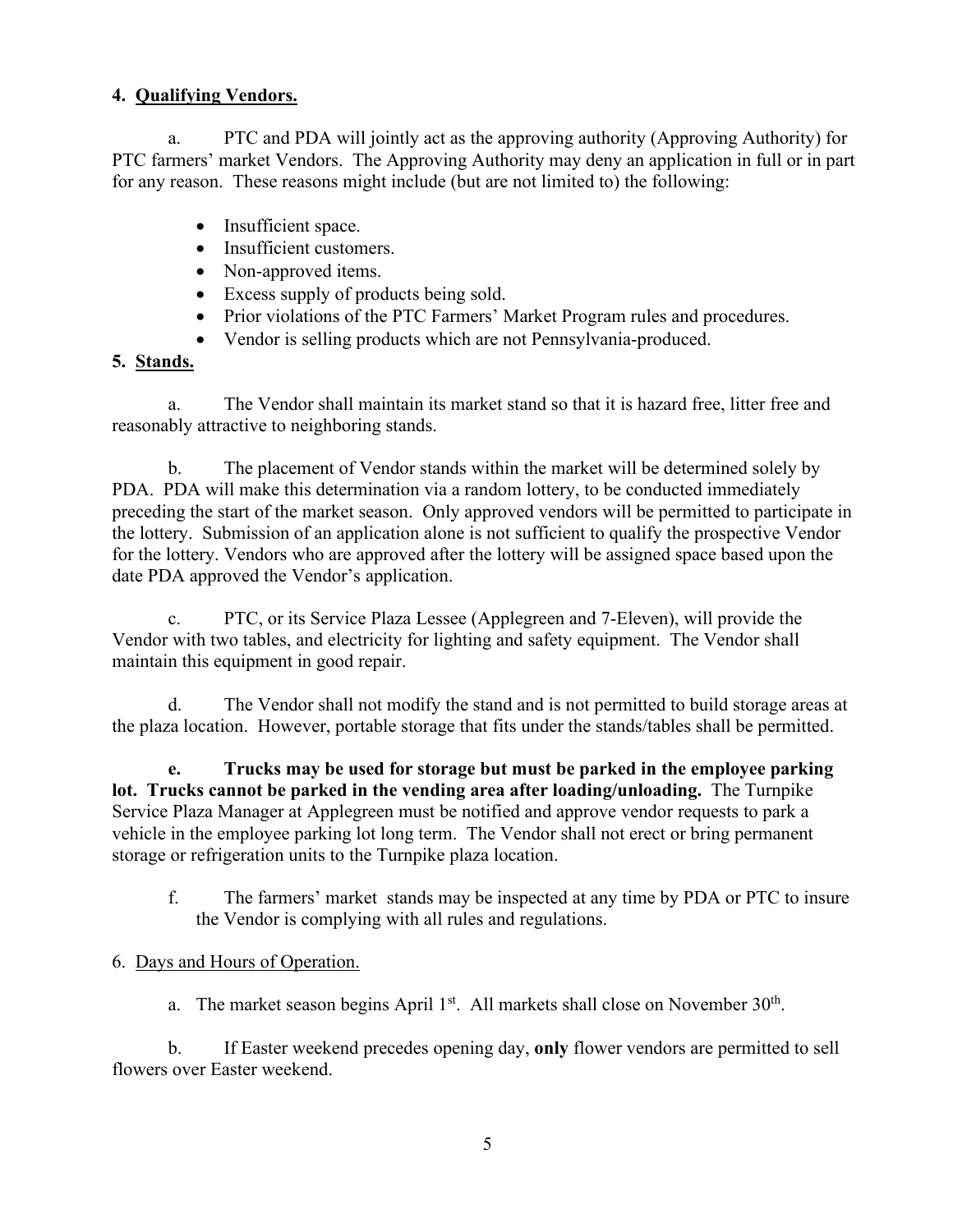# **4. Qualifying Vendors.**

a. PTC and PDA will jointly act as the approving authority (Approving Authority) for PTC farmers' market Vendors. The Approving Authority may deny an application in full or in part for any reason. These reasons might include (but are not limited to) the following:

- Insufficient space.
- Insufficient customers.
- Non-approved items.
- Excess supply of products being sold.
- Prior violations of the PTC Farmers' Market Program rules and procedures.
- Vendor is selling products which are not Pennsylvania-produced.

# **5. Stands.**

a. The Vendor shall maintain its market stand so that it is hazard free, litter free and reasonably attractive to neighboring stands.

b. The placement of Vendor stands within the market will be determined solely by PDA. PDA will make this determination via a random lottery, to be conducted immediately preceding the start of the market season. Only approved vendors will be permitted to participate in the lottery. Submission of an application alone is not sufficient to qualify the prospective Vendor for the lottery. Vendors who are approved after the lottery will be assigned space based upon the date PDA approved the Vendor's application.

c. PTC, or its Service Plaza Lessee (Applegreen and 7-Eleven), will provide the Vendor with two tables, and electricity for lighting and safety equipment. The Vendor shall maintain this equipment in good repair.

d. The Vendor shall not modify the stand and is not permitted to build storage areas at the plaza location. However, portable storage that fits under the stands/tables shall be permitted.

**e. Trucks may be used for storage but must be parked in the employee parking lot. Trucks cannot be parked in the vending area after loading/unloading.** The Turnpike Service Plaza Manager at Applegreen must be notified and approve vendor requests to park a vehicle in the employee parking lot long term. The Vendor shall not erect or bring permanent storage or refrigeration units to the Turnpike plaza location.

f. The farmers' market stands may be inspected at any time by PDA or PTC to insure the Vendor is complying with all rules and regulations.

## 6. Days and Hours of Operation.

a. The market season begins April  $1<sup>st</sup>$ . All markets shall close on November  $30<sup>th</sup>$ .

b. If Easter weekend precedes opening day, **only** flower vendors are permitted to sell flowers over Easter weekend.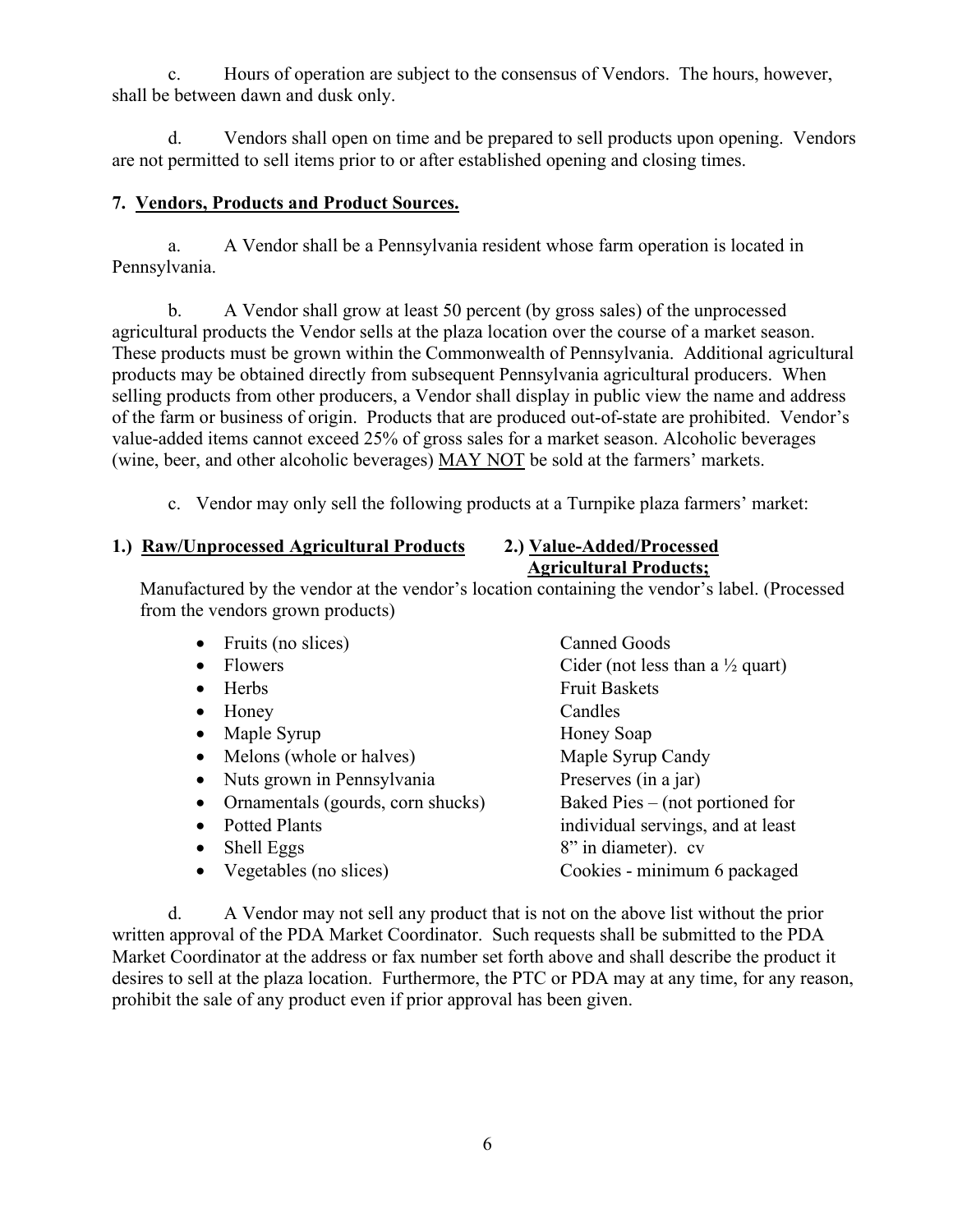c. Hours of operation are subject to the consensus of Vendors. The hours, however, shall be between dawn and dusk only.

d. Vendors shall open on time and be prepared to sell products upon opening. Vendors are not permitted to sell items prior to or after established opening and closing times.

#### **7. Vendors, Products and Product Sources.**

a. A Vendor shall be a Pennsylvania resident whose farm operation is located in Pennsylvania.

b. A Vendor shall grow at least 50 percent (by gross sales) of the unprocessed agricultural products the Vendor sells at the plaza location over the course of a market season. These products must be grown within the Commonwealth of Pennsylvania. Additional agricultural products may be obtained directly from subsequent Pennsylvania agricultural producers. When selling products from other producers, a Vendor shall display in public view the name and address of the farm or business of origin. Products that are produced out-of-state are prohibited. Vendor's value-added items cannot exceed 25% of gross sales for a market season. Alcoholic beverages (wine, beer, and other alcoholic beverages) MAY NOT be sold at the farmers' markets.

c. Vendor may only sell the following products at a Turnpike plaza farmers' market:

#### **1.) Raw/Unprocessed Agricultural Products 2.) Value-Added/Processed**

# **Agricultural Products;**

Manufactured by the vendor at the vendor's location containing the vendor's label. (Processed from the vendors grown products)

- Fruits (no slices) Canned Goods
- 
- 
- 
- Maple Syrup Honey Soap
- Melons (whole or halves) Maple Syrup Candy
- 
- Ornamentals (gourds, corn shucks)
- 
- 
- 
- Flowers Cider (not less than a  $\frac{1}{2}$  quart) • Herbs Fruit Baskets • Honey Candles • Nuts grown in Pennsylvania Preserves (in a jar)<br>• Ornamentals (gourds, corn shucks) Baked Pies – (not portioned for • Potted Plants **individual servings**, and at least • Shell Eggs 8" in diameter). cv • Vegetables (no slices) Cookies - minimum 6 packaged

d. A Vendor may not sell any product that is not on the above list without the prior written approval of the PDA Market Coordinator. Such requests shall be submitted to the PDA Market Coordinator at the address or fax number set forth above and shall describe the product it desires to sell at the plaza location. Furthermore, the PTC or PDA may at any time, for any reason, prohibit the sale of any product even if prior approval has been given.